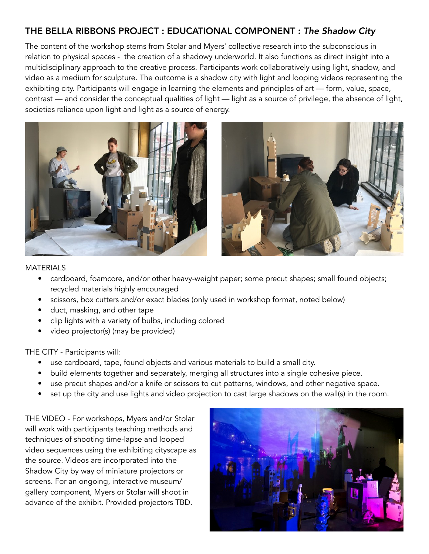### THE BELLA RIBBONS PROJECT : EDUCATIONAL COMPONENT : *The Shadow City*

The content of the workshop stems from Stolar and Myers' collective research into the subconscious in relation to physical spaces - the creation of a shadowy underworld. It also functions as direct insight into a multidisciplinary approach to the creative process. Participants work collaboratively using light, shadow, and video as a medium for sculpture. The outcome is a shadow city with light and looping videos representing the exhibiting city. Participants will engage in learning the elements and principles of art — form, value, space, contrast — and consider the conceptual qualities of light — light as a source of privilege, the absence of light, societies reliance upon light and light as a source of energy.





#### MATERIALS

- cardboard, foamcore, and/or other heavy-weight paper; some precut shapes; small found objects; recycled materials highly encouraged
- scissors, box cutters and/or exact blades (only used in workshop format, noted below)
- duct, masking, and other tape
- clip lights with a variety of bulbs, including colored
- video projector(s) (may be provided)

### THE CITY - Participants will:

- use cardboard, tape, found objects and various materials to build a small city.
- build elements together and separately, merging all structures into a single cohesive piece.
- use precut shapes and/or a knife or scissors to cut patterns, windows, and other negative space.
- set up the city and use lights and video projection to cast large shadows on the wall(s) in the room.

THE VIDEO - For workshops, Myers and/or Stolar will work with participants teaching methods and techniques of shooting time-lapse and looped video sequences using the exhibiting cityscape as the source. Videos are incorporated into the Shadow City by way of miniature projectors or screens. For an ongoing, interactive museum/ gallery component, Myers or Stolar will shoot in advance of the exhibit. Provided projectors TBD.